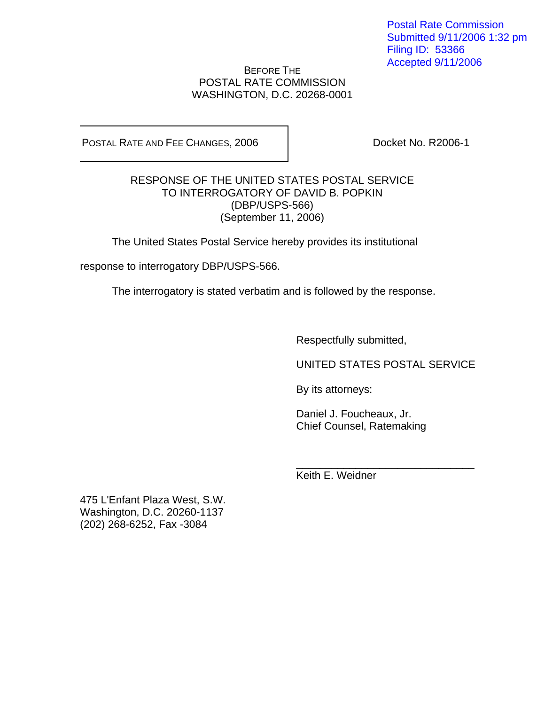Postal Rate Commission Submitted 9/11/2006 1:32 pm Filing ID: 53366 Accepted 9/11/2006

## BEFORE THE POSTAL RATE COMMISSION WASHINGTON, D.C. 20268-0001

POSTAL RATE AND FEE CHANGES, 2006 | Docket No. R2006-1

## RESPONSE OF THE UNITED STATES POSTAL SERVICE TO INTERROGATORY OF DAVID B. POPKIN (DBP/USPS-566) (September 11, 2006)

The United States Postal Service hereby provides its institutional

response to interrogatory DBP/USPS-566.

The interrogatory is stated verbatim and is followed by the response.

 $\frac{1}{2}$  , and the contract of the contract of the contract of the contract of the contract of the contract of the contract of the contract of the contract of the contract of the contract of the contract of the contract

Respectfully submitted,

UNITED STATES POSTAL SERVICE

By its attorneys:

 Daniel J. Foucheaux, Jr. Chief Counsel, Ratemaking

Keith E. Weidner

475 L'Enfant Plaza West, S.W. Washington, D.C. 20260-1137 (202) 268-6252, Fax -3084